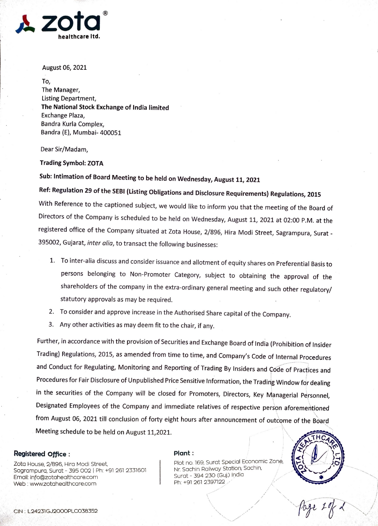

August 06, 2021

To, The Manager, Listing Department, The National Stock Exchange of India limited Exchange Plaza, Bandra Kurla Complex, Bandra (E), Mumbai- 400051

Dear Sir/Madam,

Trading Symbol: ZOTA

Sub: Intimation of Board Meeting to be held on Wednesday, August 11, 2021

Ref: Regulation 29 of the SEBI (Listing Obligations and Disclosure Requirements) Regulations, 2015

With Reference to the captioned subject, we would like to inform you that the meeting of the Board of Directors of the Company is scheduled to be held on Wednesday, August 11, 2021 at 02:00 P.M. at the registered office of the Company situated at Zota House, 2/896, Hira Modi Street, Sagrampura, Surat 395002, Gujarat, inter alia, to transact the following businesses:

- 1. To inter-alia discuss and consider issuance and allotment of equity shares on Preferential Basis to persons belonging to Non-Promoter Category, subject to obtaining the approval of the shareholders of the company in the extra-ordinary general meeting and such other regulatory/ statutory approvals as may be required.
- 2. To consider and approve increase in the Authorised Share capital of the Company.
- 3. Any other activities as may deem fit to the chair, if any.

Further, in accordance with the provision of Securities and Exchange Board of India (Prohibition of Insider Trading) Regulations, 2015, as amended from time to time, and Company's Code of Internal Procedures and Conduct for Regulating, Monitoring and Reporting of Trading By Insiders and Code of Practices and Procedures for Fair Disclosure of Unpublished Price Sensitive Information, the Trading Window for dealing in the securities of the Company will be closed for Promoters, Directors, Key Managerial Personnel, Designated Employees of the Company and immediate relatives of respective person aforementioned from August 06, 2021 till conclusion of forty eight hours after announcement of outcome of the Board Meeting schedule to be held on August 11,2021.<br>Registered Office :<br>Registered Office :

Zota House, 2/896, Hira Modi Street, Sagrampura, Surat - 395 O02 | Ph: +91 261 2331601 Email: info@zotahealthcare.com Web: www.zotahealthcare.com

## Plant

Plot no. 169, Surat Special Economic Zone, Nr. Sachin Railway Station, Sachin, Surat - 394 230 (Guj.) India Ph: +91 261 2397122